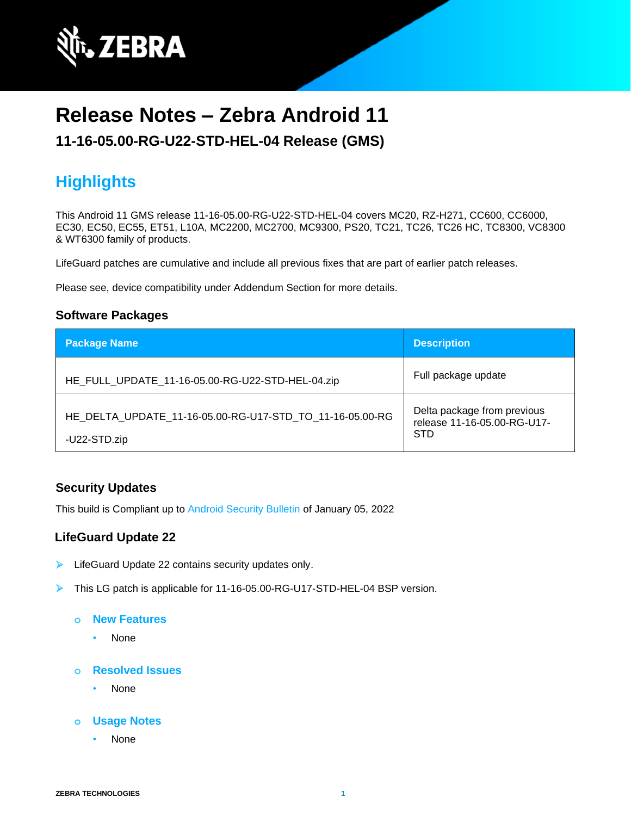

# **Release Notes – Zebra Android 11**

### **11-16-05.00-RG-U22-STD-HEL-04 Release (GMS)**

## **Highlights**

This Android 11 GMS release 11-16-05.00-RG-U22-STD-HEL-04 covers MC20, RZ-H271, CC600, CC6000, EC30, EC50, EC55, ET51, L10A, MC2200, MC2700, MC9300, PS20, TC21, TC26, TC26 HC, TC8300, VC8300 & WT6300 family of products.

LifeGuard patches are cumulative and include all previous fixes that are part of earlier patch releases.

Please see, device compatibility under Addendum Section for more details.

#### **Software Packages**

| <b>Package Name</b>                                                      | <b>Description</b>                                                       |
|--------------------------------------------------------------------------|--------------------------------------------------------------------------|
| HE_FULL_UPDATE_11-16-05.00-RG-U22-STD-HEL-04.zip                         | Full package update                                                      |
| HE DELTA UPDATE 11-16-05.00-RG-U17-STD TO 11-16-05.00-RG<br>-U22-STD.zip | Delta package from previous<br>release 11-16-05.00-RG-U17-<br><b>STD</b> |

### **Security Updates**

This build is Compliant up to [Android Security Bulletin](https://source.android.com/security/bulletin/) of January 05, 2022

#### **LifeGuard Update 22**

- ➢ LifeGuard Update 22 contains security updates only.
- ➢ This LG patch is applicable for 11-16-05.00-RG-U17-STD-HEL-04 BSP version.
	- **o New Features**
		- None
	- **o Resolved Issues**
		- None
	- **o Usage Notes**
		- None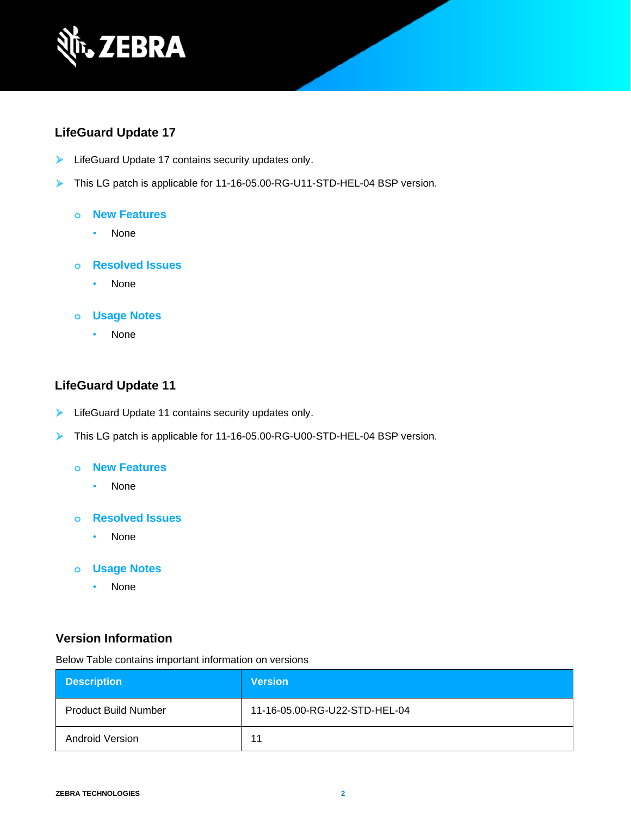

### **LifeGuard Update 17**

- ➢ LifeGuard Update 17 contains security updates only.
- ➢ This LG patch is applicable for 11-16-05.00-RG-U11-STD-HEL-04 BSP version.

#### **o New Features**

- None
- **o Resolved Issues**
	- None

#### **o Usage Notes**

• None

### **LifeGuard Update 11**

- ➢ LifeGuard Update 11 contains security updates only.
- ➢ This LG patch is applicable for 11-16-05.00-RG-U00-STD-HEL-04 BSP version.

#### **o New Features**

- None
- **o Resolved Issues**
	- None
- **o Usage Notes**
	- None

### **Version Information**

Below Table contains important information on versions

| <b>Description</b>          | <b>Version</b>                |
|-----------------------------|-------------------------------|
| <b>Product Build Number</b> | 11-16-05.00-RG-U22-STD-HEL-04 |
| Android Version             | 11                            |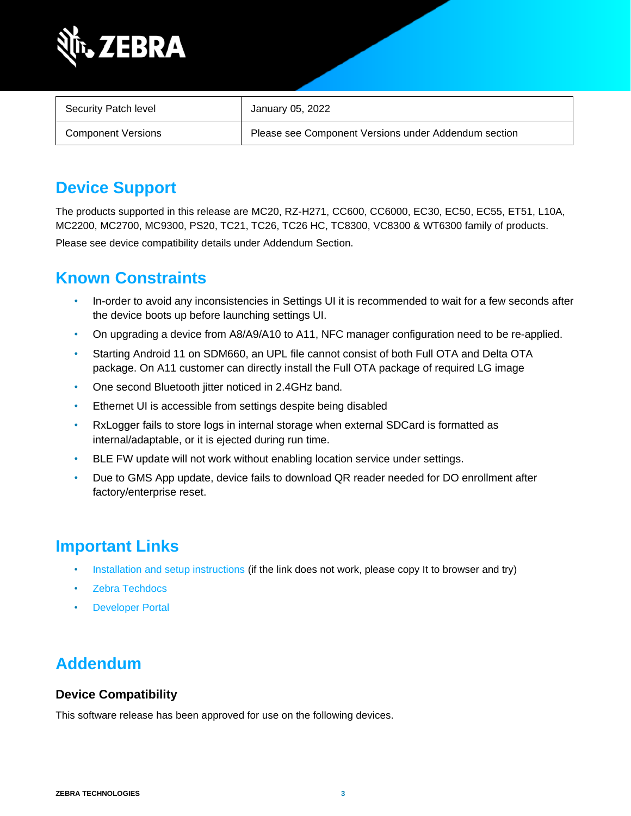

| Security Patch level      | January 05, 2022                                     |
|---------------------------|------------------------------------------------------|
| <b>Component Versions</b> | Please see Component Versions under Addendum section |

## **Device Support**

The products supported in this release are MC20, RZ-H271, CC600, CC6000, EC30, EC50, EC55, ET51, L10A, MC2200, MC2700, MC9300, PS20, TC21, TC26, TC26 HC, TC8300, VC8300 & WT6300 family of products. Please see device compatibility details under Addendum Section.

## **Known Constraints**

- In-order to avoid any inconsistencies in Settings UI it is recommended to wait for a few seconds after the device boots up before launching settings UI.
- On upgrading a device from A8/A9/A10 to A11, NFC manager configuration need to be re-applied.
- Starting Android 11 on SDM660, an UPL file cannot consist of both Full OTA and Delta OTA package. On A11 customer can directly install the Full OTA package of required LG image
- One second Bluetooth jitter noticed in 2.4GHz band.
- Ethernet UI is accessible from settings despite being disabled
- RxLogger fails to store logs in internal storage when external SDCard is formatted as internal/adaptable, or it is ejected during run time.
- BLE FW update will not work without enabling location service under settings.
- Due to GMS App update, device fails to download QR reader needed for DO enrollment after factory/enterprise reset.

## **Important Links**

- [Installation and setup instructions](https://www.zebra.com/content/dam/zebra_new_ia/en-us/software/operating-system/helios/A11-os-update-instructions.pdf) (if the link does not work, please copy It to browser and try)
- [Zebra Techdocs](http://techdocs.zebra.com/)
- **[Developer Portal](http://developer.zebra.com/)**

## **Addendum**

### **Device Compatibility**

This software release has been approved for use on the following devices.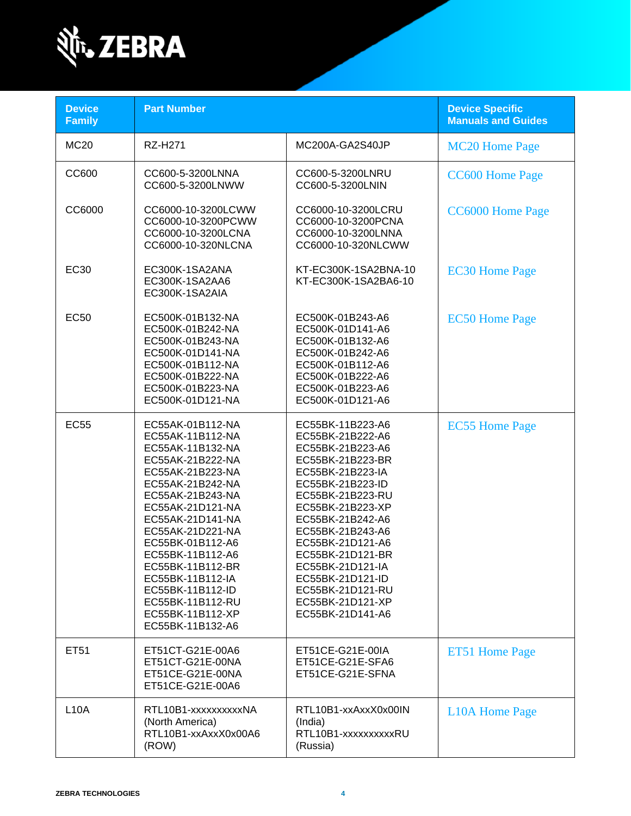

| <b>Device</b><br><b>Family</b> | <b>Part Number</b>                                                                                                                                                                                                                                                                                                                                                   |                                                                                                                                                                                                                                                                                                                                                  | <b>Device Specific</b><br><b>Manuals and Guides</b> |
|--------------------------------|----------------------------------------------------------------------------------------------------------------------------------------------------------------------------------------------------------------------------------------------------------------------------------------------------------------------------------------------------------------------|--------------------------------------------------------------------------------------------------------------------------------------------------------------------------------------------------------------------------------------------------------------------------------------------------------------------------------------------------|-----------------------------------------------------|
| <b>MC20</b>                    | <b>RZ-H271</b>                                                                                                                                                                                                                                                                                                                                                       | MC200A-GA2S40JP                                                                                                                                                                                                                                                                                                                                  | <b>MC20 Home Page</b>                               |
| CC600                          | CC600-5-3200LNNA<br>CC600-5-3200LNWW                                                                                                                                                                                                                                                                                                                                 | CC600-5-3200LNRU<br>CC600-5-3200LNIN                                                                                                                                                                                                                                                                                                             | CC600 Home Page                                     |
| CC6000                         | CC6000-10-3200LCWW<br>CC6000-10-3200PCWW<br>CC6000-10-3200LCNA<br>CC6000-10-320NLCNA                                                                                                                                                                                                                                                                                 | CC6000-10-3200LCRU<br>CC6000-10-3200PCNA<br>CC6000-10-3200LNNA<br>CC6000-10-320NLCWW                                                                                                                                                                                                                                                             | <b>CC6000 Home Page</b>                             |
| EC30                           | EC300K-1SA2ANA<br>EC300K-1SA2AA6<br>EC300K-1SA2AIA                                                                                                                                                                                                                                                                                                                   | KT-EC300K-1SA2BNA-10<br>KT-EC300K-1SA2BA6-10                                                                                                                                                                                                                                                                                                     | <b>EC30 Home Page</b>                               |
| <b>EC50</b>                    | EC500K-01B132-NA<br>EC500K-01B242-NA<br>EC500K-01B243-NA<br>EC500K-01D141-NA<br>EC500K-01B112-NA<br>EC500K-01B222-NA<br>EC500K-01B223-NA<br>EC500K-01D121-NA                                                                                                                                                                                                         | EC500K-01B243-A6<br>EC500K-01D141-A6<br>EC500K-01B132-A6<br>EC500K-01B242-A6<br>EC500K-01B112-A6<br>EC500K-01B222-A6<br>EC500K-01B223-A6<br>EC500K-01D121-A6                                                                                                                                                                                     | <b>EC50 Home Page</b>                               |
| <b>EC55</b>                    | EC55AK-01B112-NA<br>EC55AK-11B112-NA<br>EC55AK-11B132-NA<br>EC55AK-21B222-NA<br>EC55AK-21B223-NA<br>EC55AK-21B242-NA<br>EC55AK-21B243-NA<br>EC55AK-21D121-NA<br>EC55AK-21D141-NA<br>EC55AK-21D221-NA<br>EC55BK-01B112-A6<br>EC55BK-11B112-A6<br>EC55BK-11B112-BR<br>EC55BK-11B112-IA<br>EC55BK-11B112-ID<br>EC55BK-11B112-RU<br>EC55BK-11B112-XP<br>EC55BK-11B132-A6 | EC55BK-11B223-A6<br>EC55BK-21B222-A6<br>EC55BK-21B223-A6<br>EC55BK-21B223-BR<br>EC55BK-21B223-IA<br>EC55BK-21B223-ID<br>EC55BK-21B223-RU<br>EC55BK-21B223-XP<br>EC55BK-21B242-A6<br>EC55BK-21B243-A6<br>EC55BK-21D121-A6<br>EC55BK-21D121-BR<br>EC55BK-21D121-IA<br>EC55BK-21D121-ID<br>EC55BK-21D121-RU<br>EC55BK-21D121-XP<br>EC55BK-21D141-A6 | <b>EC55 Home Page</b>                               |
| ET51                           | ET51CT-G21E-00A6<br>ET51CT-G21E-00NA<br>ET51CE-G21E-00NA<br>ET51CE-G21E-00A6                                                                                                                                                                                                                                                                                         | ET51CE-G21E-00IA<br>ET51CE-G21E-SFA6<br>ET51CE-G21E-SFNA                                                                                                                                                                                                                                                                                         | ET51 Home Page                                      |
| <b>L10A</b>                    | RTL10B1-xxxxxxxxxXNA<br>(North America)<br>RTL10B1-xxAxxX0x00A6<br>(ROW)                                                                                                                                                                                                                                                                                             | RTL10B1-xxAxxX0x00IN<br>(India)<br>RTL10B1-xxxxxxxxxRU<br>(Russia)                                                                                                                                                                                                                                                                               | <b>L10A Home Page</b>                               |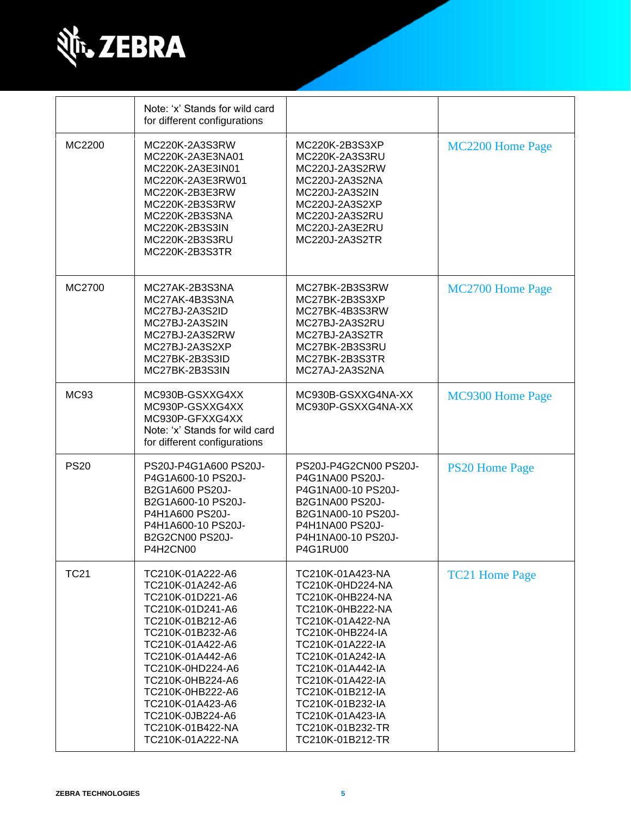

|             | Note: 'x' Stands for wild card<br>for different configurations                                                                                                                                                                                                                                           |                                                                                                                                                                                                                                                                                                          |                         |
|-------------|----------------------------------------------------------------------------------------------------------------------------------------------------------------------------------------------------------------------------------------------------------------------------------------------------------|----------------------------------------------------------------------------------------------------------------------------------------------------------------------------------------------------------------------------------------------------------------------------------------------------------|-------------------------|
| MC2200      | MC220K-2A3S3RW<br>MC220K-2A3E3NA01<br>MC220K-2A3E3IN01<br>MC220K-2A3E3RW01<br>MC220K-2B3E3RW<br>MC220K-2B3S3RW<br>MC220K-2B3S3NA<br>MC220K-2B3S3IN<br>MC220K-2B3S3RU<br>MC220K-2B3S3TR                                                                                                                   | MC220K-2B3S3XP<br>MC220K-2A3S3RU<br>MC220J-2A3S2RW<br>MC220J-2A3S2NA<br>MC220J-2A3S2IN<br>MC220J-2A3S2XP<br>MC220J-2A3S2RU<br>MC220J-2A3E2RU<br>MC220J-2A3S2TR                                                                                                                                           | MC2200 Home Page        |
| MC2700      | MC27AK-2B3S3NA<br>MC27AK-4B3S3NA<br>MC27BJ-2A3S2ID<br>MC27BJ-2A3S2IN<br>MC27BJ-2A3S2RW<br>MC27BJ-2A3S2XP<br>MC27BK-2B3S3ID<br>MC27BK-2B3S3IN                                                                                                                                                             | MC27BK-2B3S3RW<br>MC27BK-2B3S3XP<br>MC27BK-4B3S3RW<br>MC27BJ-2A3S2RU<br>MC27BJ-2A3S2TR<br>MC27BK-2B3S3RU<br>MC27BK-2B3S3TR<br>MC27AJ-2A3S2NA                                                                                                                                                             | <b>MC2700 Home Page</b> |
| <b>MC93</b> | MC930B-GSXXG4XX<br>MC930P-GSXXG4XX<br>MC930P-GFXXG4XX<br>Note: 'x' Stands for wild card<br>for different configurations                                                                                                                                                                                  | MC930B-GSXXG4NA-XX<br>MC930P-GSXXG4NA-XX                                                                                                                                                                                                                                                                 | MC9300 Home Page        |
| <b>PS20</b> | PS20J-P4G1A600 PS20J-<br>P4G1A600-10 PS20J-<br>B2G1A600 PS20J-<br>B2G1A600-10 PS20J-<br>P4H1A600 PS20J-<br>P4H1A600-10 PS20J-<br>B2G2CN00 PS20J-<br>P4H2CN00                                                                                                                                             | PS20J-P4G2CN00 PS20J-<br>P4G1NA00 PS20J-<br>P4G1NA00-10 PS20J-<br>B2G1NA00 PS20J-<br>B2G1NA00-10 PS20J-<br>P4H1NA00 PS20J-<br>P4H1NA00-10 PS20J-<br><b>P4G1RU00</b>                                                                                                                                      | <b>PS20 Home Page</b>   |
| <b>TC21</b> | TC210K-01A222-A6<br>TC210K-01A242-A6<br>TC210K-01D221-A6<br>TC210K-01D241-A6<br>TC210K-01B212-A6<br>TC210K-01B232-A6<br>TC210K-01A422-A6<br>TC210K-01A442-A6<br>TC210K-0HD224-A6<br>TC210K-0HB224-A6<br>TC210K-0HB222-A6<br>TC210K-01A423-A6<br>TC210K-0JB224-A6<br>TC210K-01B422-NA<br>TC210K-01A222-NA | TC210K-01A423-NA<br>TC210K-0HD224-NA<br>TC210K-0HB224-NA<br>TC210K-0HB222-NA<br>TC210K-01A422-NA<br>TC210K-0HB224-IA<br>TC210K-01A222-IA<br>TC210K-01A242-IA<br>TC210K-01A442-IA<br>TC210K-01A422-IA<br>TC210K-01B212-IA<br>TC210K-01B232-IA<br>TC210K-01A423-IA<br>TC210K-01B232-TR<br>TC210K-01B212-TR | <b>TC21 Home Page</b>   |

H

 $\overline{\phantom{a}}$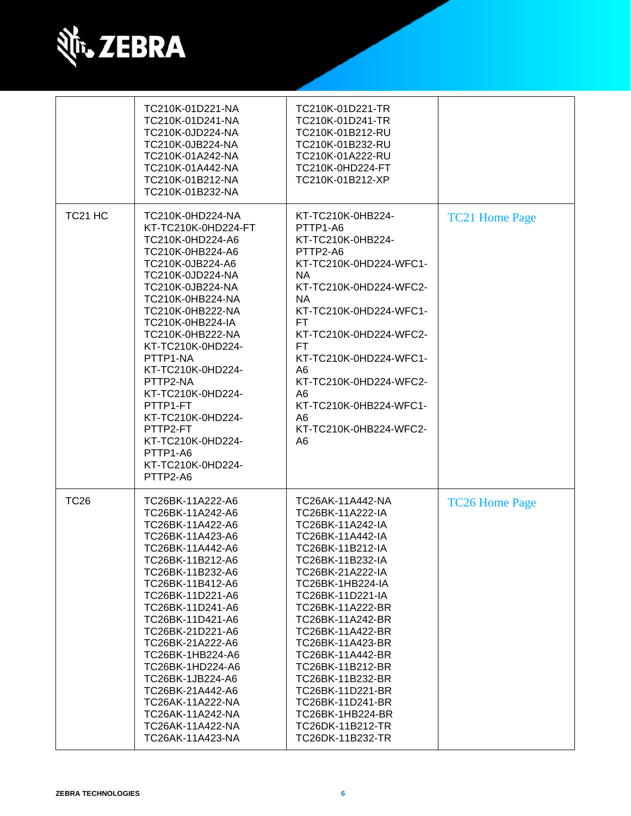

|                     | TC210K-01D221-NA<br>TC210K-01D241-NA<br>TC210K-0JD224-NA<br>TC210K-0JB224-NA<br>TC210K-01A242-NA<br>TC210K-01A442-NA<br>TC210K-01B212-NA<br>TC210K-01B232-NA                                                                                                                                                                                                                                                                      | TC210K-01D221-TR<br>TC210K-01D241-TR<br>TC210K-01B212-RU<br>TC210K-01B232-RU<br>TC210K-01A222-RU<br>TC210K-0HD224-FT<br>TC210K-01B212-XP                                                                                                                                                                                                                                                                                         |                       |
|---------------------|-----------------------------------------------------------------------------------------------------------------------------------------------------------------------------------------------------------------------------------------------------------------------------------------------------------------------------------------------------------------------------------------------------------------------------------|----------------------------------------------------------------------------------------------------------------------------------------------------------------------------------------------------------------------------------------------------------------------------------------------------------------------------------------------------------------------------------------------------------------------------------|-----------------------|
| TC <sub>21</sub> HC | TC210K-0HD224-NA<br>KT-TC210K-0HD224-FT<br>TC210K-0HD224-A6<br>TC210K-0HB224-A6<br>TC210K-0JB224-A6<br>TC210K-0JD224-NA<br>TC210K-0JB224-NA<br>TC210K-0HB224-NA<br>TC210K-0HB222-NA<br>TC210K-0HB224-IA<br>TC210K-0HB222-NA<br>KT-TC210K-0HD224-<br>PTTP1-NA<br>KT-TC210K-0HD224-<br>PTTP2-NA<br>KT-TC210K-0HD224-<br>PTTP1-FT<br>KT-TC210K-0HD224-<br>PTTP2-FT<br>KT-TC210K-0HD224-<br>PTTP1-A6<br>KT-TC210K-0HD224-<br>PTTP2-A6 | KT-TC210K-0HB224-<br>PTTP1-A6<br>KT-TC210K-0HB224-<br>PTTP2-A6<br>KT-TC210K-0HD224-WFC1-<br>NA.<br>KT-TC210K-0HD224-WFC2-<br>NA.<br>KT-TC210K-0HD224-WFC1-<br>FT.<br>KT-TC210K-0HD224-WFC2-<br>FT.<br>KT-TC210K-0HD224-WFC1-<br>A <sub>6</sub><br>KT-TC210K-0HD224-WFC2-<br>A <sub>6</sub><br>KT-TC210K-0HB224-WFC1-<br>A <sub>6</sub><br>KT-TC210K-0HB224-WFC2-<br>A <sub>6</sub>                                               | <b>TC21 Home Page</b> |
| <b>TC26</b>         | TC26BK-11A222-A6<br>TC26BK-11A242-A6<br>TC26BK-11A422-A6<br>TC26BK-11A423-A6<br>TC26BK-11A442-A6<br>TC26BK-11B212-A6<br>TC26BK-11B232-A6<br>TC26BK-11B412-A6<br>TC26BK-11D221-A6<br>TC26BK-11D241-A6<br>TC26BK-11D421-A6<br>TC26BK-21D221-A6<br>TC26BK-21A222-A6<br>TC26BK-1HB224-A6<br>TC26BK-1HD224-A6<br>TC26BK-1JB224-A6<br>TC26BK-21A442-A6<br>TC26AK-11A222-NA<br>TC26AK-11A242-NA<br>TC26AK-11A422-NA<br>TC26AK-11A423-NA  | TC26AK-11A442-NA<br>TC26BK-11A222-IA<br>TC26BK-11A242-IA<br>TC26BK-11A442-IA<br>TC26BK-11B212-IA<br>TC26BK-11B232-IA<br>TC26BK-21A222-IA<br>TC26BK-1HB224-IA<br>TC26BK-11D221-IA<br>TC26BK-11A222-BR<br>TC26BK-11A242-BR<br>TC26BK-11A422-BR<br>TC26BK-11A423-BR<br>TC26BK-11A442-BR<br>TC26BK-11B212-BR<br>TC26BK-11B232-BR<br>TC26BK-11D221-BR<br>TC26BK-11D241-BR<br>TC26BK-1HB224-BR<br>TC26DK-11B212-TR<br>TC26DK-11B232-TR | <b>TC26 Home Page</b> |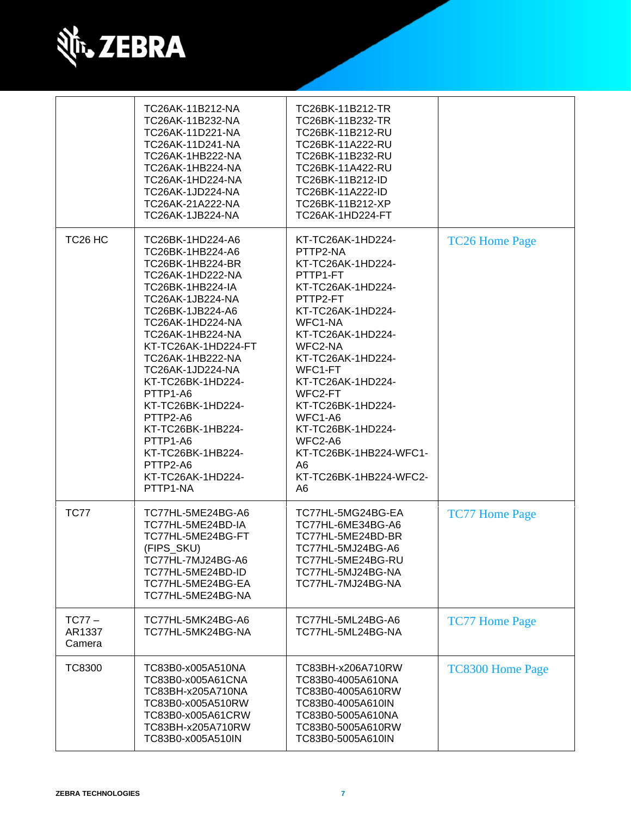

|                              | TC26AK-11B212-NA<br>TC26AK-11B232-NA<br>TC26AK-11D221-NA<br>TC26AK-11D241-NA<br>TC26AK-1HB222-NA<br>TC26AK-1HB224-NA<br>TC26AK-1HD224-NA<br>TC26AK-1JD224-NA<br>TC26AK-21A222-NA<br>TC26AK-1JB224-NA                                                                                                                                                                                                                 | TC26BK-11B212-TR<br>TC26BK-11B232-TR<br>TC26BK-11B212-RU<br>TC26BK-11A222-RU<br>TC26BK-11B232-RU<br>TC26BK-11A422-RU<br>TC26BK-11B212-ID<br>TC26BK-11A222-ID<br>TC26BK-11B212-XP<br>TC26AK-1HD224-FT                                                                                                                                                                        |                         |
|------------------------------|----------------------------------------------------------------------------------------------------------------------------------------------------------------------------------------------------------------------------------------------------------------------------------------------------------------------------------------------------------------------------------------------------------------------|-----------------------------------------------------------------------------------------------------------------------------------------------------------------------------------------------------------------------------------------------------------------------------------------------------------------------------------------------------------------------------|-------------------------|
| TC <sub>26</sub> HC          | TC26BK-1HD224-A6<br>TC26BK-1HB224-A6<br>TC26BK-1HB224-BR<br>TC26AK-1HD222-NA<br>TC26BK-1HB224-IA<br>TC26AK-1JB224-NA<br>TC26BK-1JB224-A6<br>TC26AK-1HD224-NA<br>TC26AK-1HB224-NA<br>KT-TC26AK-1HD224-FT<br>TC26AK-1HB222-NA<br>TC26AK-1JD224-NA<br>KT-TC26BK-1HD224-<br>PTTP1-A6<br>KT-TC26BK-1HD224-<br>PTTP2-A6<br>KT-TC26BK-1HB224-<br>PTTP1-A6<br>KT-TC26BK-1HB224-<br>PTTP2-A6<br>KT-TC26AK-1HD224-<br>PTTP1-NA | KT-TC26AK-1HD224-<br>PTTP2-NA<br>KT-TC26AK-1HD224-<br>PTTP1-FT<br>KT-TC26AK-1HD224-<br>PTTP2-FT<br>KT-TC26AK-1HD224-<br>WFC1-NA<br>KT-TC26AK-1HD224-<br>WFC2-NA<br>KT-TC26AK-1HD224-<br>WFC1-FT<br>KT-TC26AK-1HD224-<br>WFC2-FT<br>KT-TC26BK-1HD224-<br>WFC1-A6<br>KT-TC26BK-1HD224-<br>WFC2-A6<br>KT-TC26BK-1HB224-WFC1-<br>A6<br>KT-TC26BK-1HB224-WFC2-<br>A <sub>6</sub> | <b>TC26 Home Page</b>   |
| <b>TC77</b>                  | TC77HL-5ME24BG-A6<br>TC77HL-5ME24BD-IA<br>TC77HL-5ME24BG-FT<br>(FIPS_SKU)<br>TC77HL-7MJ24BG-A6<br>TC77HL-5ME24BD-ID<br>TC77HL-5ME24BG-EA<br>TC77HL-5ME24BG-NA                                                                                                                                                                                                                                                        | TC77HL-5MG24BG-EA<br>TC77HL-6ME34BG-A6<br>TC77HL-5ME24BD-BR<br>TC77HL-5MJ24BG-A6<br>TC77HL-5ME24BG-RU<br>TC77HL-5MJ24BG-NA<br>TC77HL-7MJ24BG-NA                                                                                                                                                                                                                             | <b>TC77 Home Page</b>   |
| $TC77 -$<br>AR1337<br>Camera | TC77HL-5MK24BG-A6<br>TC77HL-5MK24BG-NA                                                                                                                                                                                                                                                                                                                                                                               | TC77HL-5ML24BG-A6<br>TC77HL-5ML24BG-NA                                                                                                                                                                                                                                                                                                                                      | <b>TC77 Home Page</b>   |
| <b>TC8300</b>                | TC83B0-x005A510NA<br>TC83B0-x005A61CNA<br>TC83BH-x205A710NA<br>TC83B0-x005A510RW<br>TC83B0-x005A61CRW<br>TC83BH-x205A710RW<br>TC83B0-x005A510IN                                                                                                                                                                                                                                                                      | TC83BH-x206A710RW<br>TC83B0-4005A610NA<br>TC83B0-4005A610RW<br>TC83B0-4005A610IN<br>TC83B0-5005A610NA<br>TC83B0-5005A610RW<br>TC83B0-5005A610IN                                                                                                                                                                                                                             | <b>TC8300 Home Page</b> |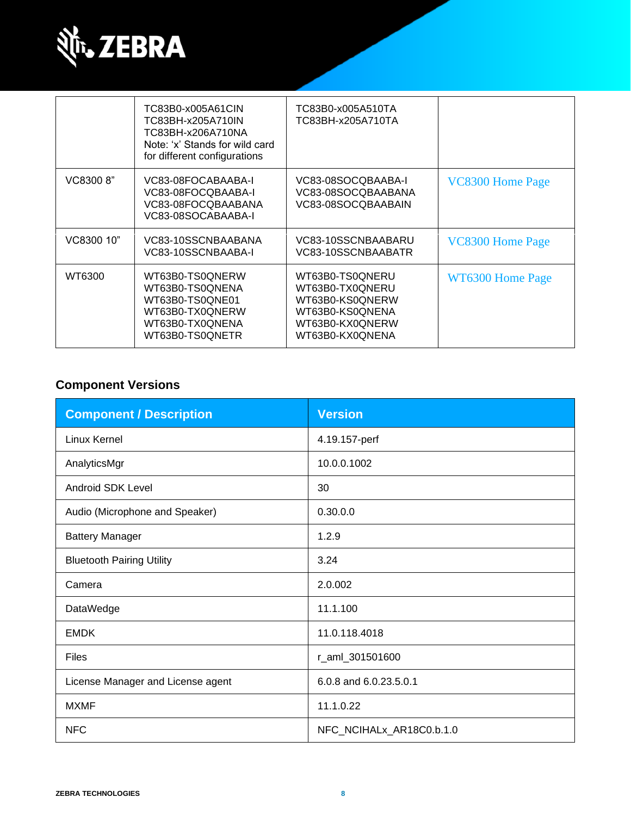

|            | TC83B0-x005A61CIN<br>TC83BH-x205A710IN<br>TC83BH-x206A710NA<br>Note: 'x' Stands for wild card<br>for different configurations | TC83B0-x005A510TA<br>TC83BH-x205A710TA                                                                         |                  |
|------------|-------------------------------------------------------------------------------------------------------------------------------|----------------------------------------------------------------------------------------------------------------|------------------|
| VC8300 8"  | VC83-08FOCABAABA-I<br>VC83-08FOCQBAABA-I<br>VC83-08FOCQBAABANA<br>VC83-08SOCABAABA-I                                          | VC83-08SOCQBAABA-I<br>VC83-08SOCQBAABANA<br>VC83-08SOCQBAABAIN                                                 | VC8300 Home Page |
| VC8300 10" | VC83-10SSCNBAABANA<br>VC83-10SSCNBAABA-I                                                                                      | VC83-10SSCNBAABARU<br>VC83-10SSCNBAABATR                                                                       | VC8300 Home Page |
| WT6300     | WT63B0-TS0QNERW<br>WT63B0-TS0QNENA<br>WT63B0-TS0QNE01<br>WT63B0-TX0ONERW<br>WT63B0-TX0QNENA<br>WT63B0-TS0ONETR                | WT63B0-TS0QNERU<br>WT63B0-TX0QNERU<br>WT63B0-KS0QNERW<br>WT63B0-KS0ONENA<br>WT63B0-KX0QNERW<br>WT63B0-KX0ONENA | WT6300 Home Page |

### **Component Versions**

| <b>Component / Description</b>    | <b>Version</b>           |
|-----------------------------------|--------------------------|
| Linux Kernel                      | 4.19.157-perf            |
| AnalyticsMgr                      | 10.0.0.1002              |
| <b>Android SDK Level</b>          | 30                       |
| Audio (Microphone and Speaker)    | 0.30.0.0                 |
| <b>Battery Manager</b>            | 1.2.9                    |
| <b>Bluetooth Pairing Utility</b>  | 3.24                     |
| Camera                            | 2.0.002                  |
| DataWedge                         | 11.1.100                 |
| <b>EMDK</b>                       | 11.0.118.4018            |
| <b>Files</b>                      | r_aml_301501600          |
| License Manager and License agent | 6.0.8 and 6.0.23.5.0.1   |
| <b>MXMF</b>                       | 11.1.0.22                |
| <b>NFC</b>                        | NFC_NCIHALx_AR18C0.b.1.0 |